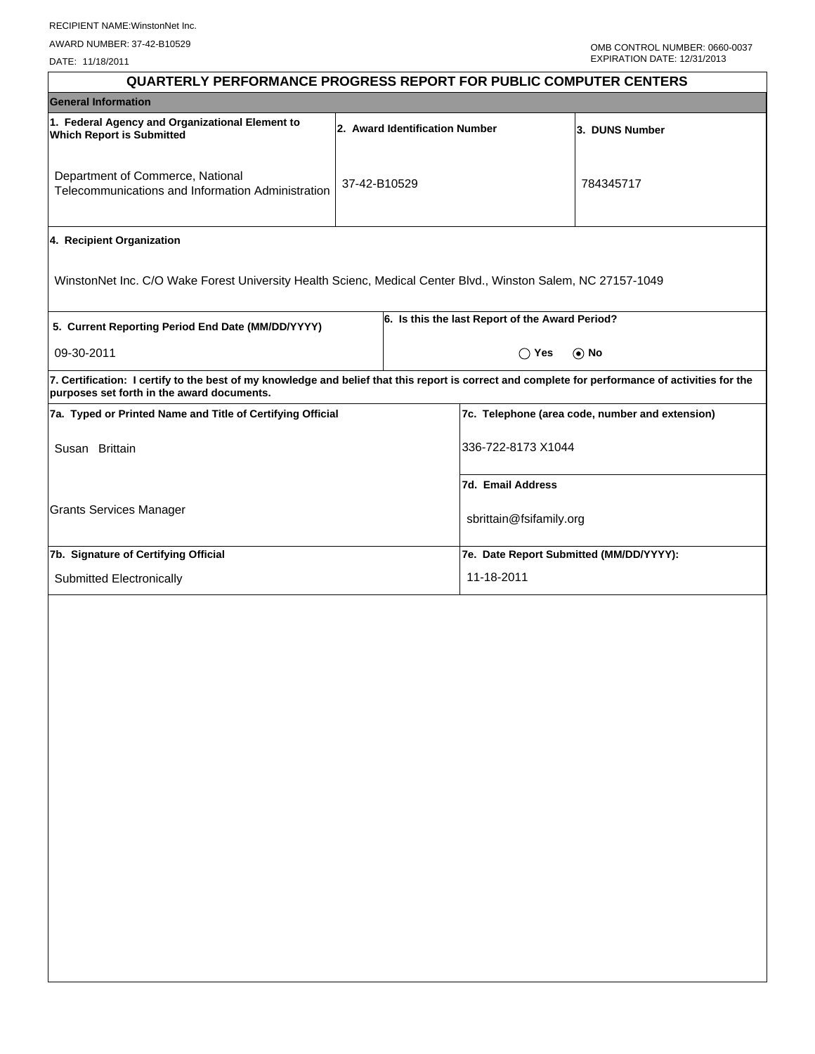DATE: 11/18/2011

| <b>QUARTERLY PERFORMANCE PROGRESS REPORT FOR PUBLIC COMPUTER CENTERS</b>                                                                                                                        |              |                                |                                                 |                |  |  |
|-------------------------------------------------------------------------------------------------------------------------------------------------------------------------------------------------|--------------|--------------------------------|-------------------------------------------------|----------------|--|--|
| <b>General Information</b>                                                                                                                                                                      |              |                                |                                                 |                |  |  |
| 1. Federal Agency and Organizational Element to<br><b>Which Report is Submitted</b>                                                                                                             |              | 2. Award Identification Number |                                                 | 3. DUNS Number |  |  |
| Department of Commerce, National<br>Telecommunications and Information Administration                                                                                                           | 37-42-B10529 |                                |                                                 | 784345717      |  |  |
| 4. Recipient Organization                                                                                                                                                                       |              |                                |                                                 |                |  |  |
| WinstonNet Inc. C/O Wake Forest University Health Scienc, Medical Center Blvd., Winston Salem, NC 27157-1049                                                                                    |              |                                |                                                 |                |  |  |
| 5. Current Reporting Period End Date (MM/DD/YYYY)                                                                                                                                               |              |                                | 6. Is this the last Report of the Award Period? |                |  |  |
| 09-30-2011                                                                                                                                                                                      |              |                                | $\bigcirc$ Yes                                  | $\odot$ No     |  |  |
| 7. Certification: I certify to the best of my knowledge and belief that this report is correct and complete for performance of activities for the<br>purposes set forth in the award documents. |              |                                |                                                 |                |  |  |
| 7a. Typed or Printed Name and Title of Certifying Official                                                                                                                                      |              |                                | 7c. Telephone (area code, number and extension) |                |  |  |
| Susan Brittain                                                                                                                                                                                  |              |                                | 336-722-8173 X1044                              |                |  |  |
|                                                                                                                                                                                                 |              |                                | 7d. Email Address                               |                |  |  |
| <b>Grants Services Manager</b>                                                                                                                                                                  |              |                                | sbrittain@fsifamily.org                         |                |  |  |
| 7b. Signature of Certifying Official                                                                                                                                                            |              |                                | 7e. Date Report Submitted (MM/DD/YYYY):         |                |  |  |
| Submitted Electronically                                                                                                                                                                        |              |                                | 11-18-2011                                      |                |  |  |
|                                                                                                                                                                                                 |              |                                |                                                 |                |  |  |
|                                                                                                                                                                                                 |              |                                |                                                 |                |  |  |
|                                                                                                                                                                                                 |              |                                |                                                 |                |  |  |
|                                                                                                                                                                                                 |              |                                |                                                 |                |  |  |
|                                                                                                                                                                                                 |              |                                |                                                 |                |  |  |
|                                                                                                                                                                                                 |              |                                |                                                 |                |  |  |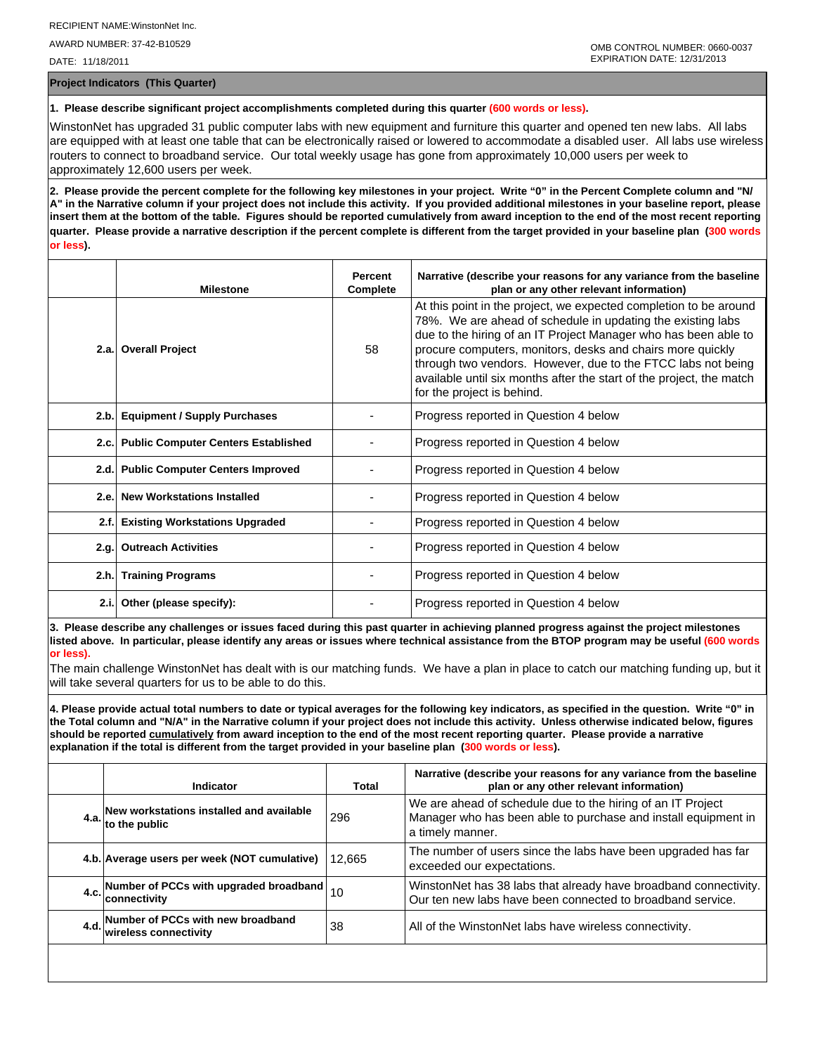AWARD NUMBER: 37-42-B10529

DATE: 11/18/2011

**Project Indicators (This Quarter)**

## **1. Please describe significant project accomplishments completed during this quarter (600 words or less).**

WinstonNet has upgraded 31 public computer labs with new equipment and furniture this quarter and opened ten new labs. All labs are equipped with at least one table that can be electronically raised or lowered to accommodate a disabled user. All labs use wireless routers to connect to broadband service. Our total weekly usage has gone from approximately 10,000 users per week to approximately 12,600 users per week.

**2. Please provide the percent complete for the following key milestones in your project. Write "0" in the Percent Complete column and "N/ A" in the Narrative column if your project does not include this activity. If you provided additional milestones in your baseline report, please insert them at the bottom of the table. Figures should be reported cumulatively from award inception to the end of the most recent reporting quarter. Please provide a narrative description if the percent complete is different from the target provided in your baseline plan (300 words or less).**

|       | <b>Milestone</b>                         | <b>Percent</b><br>Complete | Narrative (describe your reasons for any variance from the baseline<br>plan or any other relevant information)                                                                                                                                                                                                                                                                                                                          |
|-------|------------------------------------------|----------------------------|-----------------------------------------------------------------------------------------------------------------------------------------------------------------------------------------------------------------------------------------------------------------------------------------------------------------------------------------------------------------------------------------------------------------------------------------|
|       | 2.a. Overall Project                     | 58                         | At this point in the project, we expected completion to be around<br>78%. We are ahead of schedule in updating the existing labs<br>due to the hiring of an IT Project Manager who has been able to<br>procure computers, monitors, desks and chairs more quickly<br>through two vendors. However, due to the FTCC labs not being<br>available until six months after the start of the project, the match<br>for the project is behind. |
|       | 2.b. Equipment / Supply Purchases        |                            | Progress reported in Question 4 below                                                                                                                                                                                                                                                                                                                                                                                                   |
|       | 2.c. Public Computer Centers Established |                            | Progress reported in Question 4 below                                                                                                                                                                                                                                                                                                                                                                                                   |
|       | 2.d. Public Computer Centers Improved    |                            | Progress reported in Question 4 below                                                                                                                                                                                                                                                                                                                                                                                                   |
| 2.e.  | <b>New Workstations Installed</b>        |                            | Progress reported in Question 4 below                                                                                                                                                                                                                                                                                                                                                                                                   |
|       | 2.f. Existing Workstations Upgraded      |                            | Progress reported in Question 4 below                                                                                                                                                                                                                                                                                                                                                                                                   |
| 2.q.  | <b>Outreach Activities</b>               |                            | Progress reported in Question 4 below                                                                                                                                                                                                                                                                                                                                                                                                   |
|       | 2.h. Training Programs                   |                            | Progress reported in Question 4 below                                                                                                                                                                                                                                                                                                                                                                                                   |
| 2.i.l | Other (please specify):                  |                            | Progress reported in Question 4 below                                                                                                                                                                                                                                                                                                                                                                                                   |

**3. Please describe any challenges or issues faced during this past quarter in achieving planned progress against the project milestones listed above. In particular, please identify any areas or issues where technical assistance from the BTOP program may be useful (600 words or less).**

The main challenge WinstonNet has dealt with is our matching funds. We have a plan in place to catch our matching funding up, but it will take several quarters for us to be able to do this.

**4. Please provide actual total numbers to date or typical averages for the following key indicators, as specified in the question. Write "0" in the Total column and "N/A" in the Narrative column if your project does not include this activity. Unless otherwise indicated below, figures should be reported cumulatively from award inception to the end of the most recent reporting quarter. Please provide a narrative explanation if the total is different from the target provided in your baseline plan (300 words or less).** 

| Indicator                                                       | Total  | Narrative (describe your reasons for any variance from the baseline<br>plan or any other relevant information)                                    |
|-----------------------------------------------------------------|--------|---------------------------------------------------------------------------------------------------------------------------------------------------|
| 4.a. New workstations installed and available<br>to the public  | 296    | We are ahead of schedule due to the hiring of an IT Project<br>Manager who has been able to purchase and install equipment in<br>a timely manner. |
| 4.b. Average users per week (NOT cumulative)                    | 12.665 | The number of users since the labs have been upgraded has far<br>exceeded our expectations.                                                       |
| 4.c. Number of PCCs with upgraded broadband $\Big  10$          |        | WinstonNet has 38 labs that already have broadband connectivity.<br>Our ten new labs have been connected to broadband service.                    |
| 4.d. Number of PCCs with new broadband<br>wireless connectivity | 38     | All of the WinstonNet labs have wireless connectivity.                                                                                            |
|                                                                 |        |                                                                                                                                                   |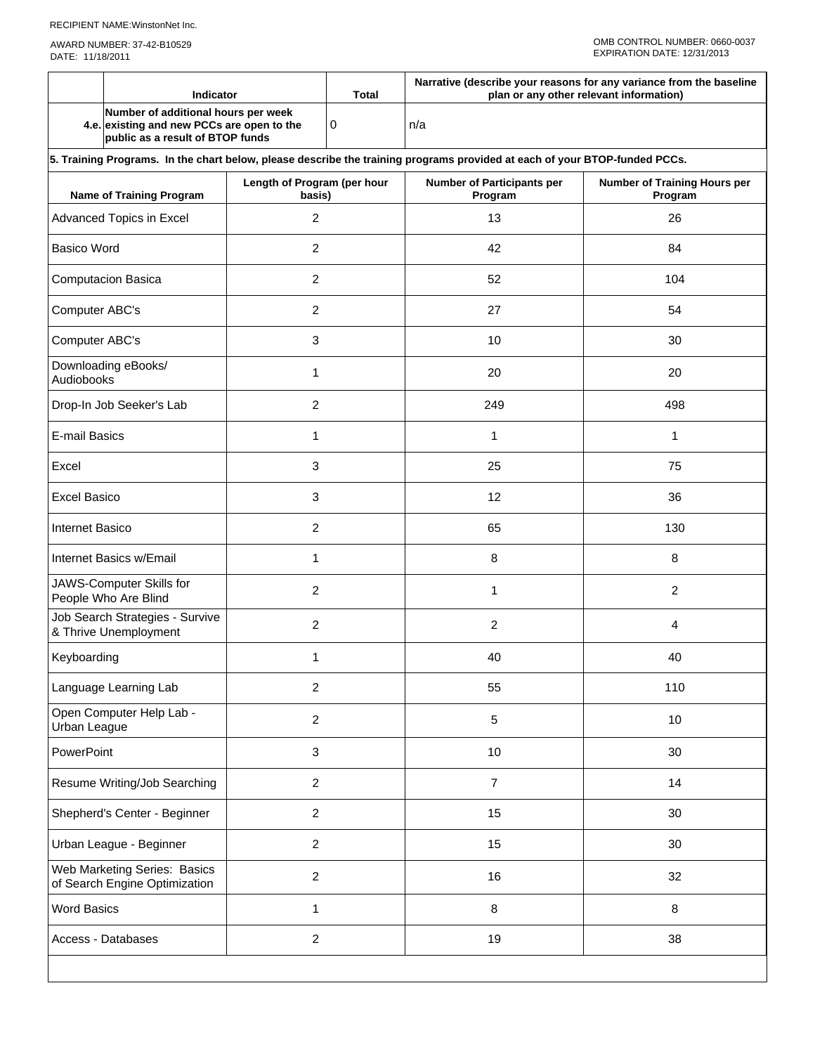|                                                               | <b>Indicator</b>                                                                                                           |                                       | <b>Total</b> | Narrative (describe your reasons for any variance from the baseline<br>plan or any other relevant information) |                                         |  |  |  |  |  |
|---------------------------------------------------------------|----------------------------------------------------------------------------------------------------------------------------|---------------------------------------|--------------|----------------------------------------------------------------------------------------------------------------|-----------------------------------------|--|--|--|--|--|
|                                                               | Number of additional hours per week<br>4.e. existing and new PCCs are open to the<br>public as a result of BTOP funds      |                                       | 0<br>n/a     |                                                                                                                |                                         |  |  |  |  |  |
|                                                               | 5. Training Programs. In the chart below, please describe the training programs provided at each of your BTOP-funded PCCs. |                                       |              |                                                                                                                |                                         |  |  |  |  |  |
|                                                               | <b>Name of Training Program</b>                                                                                            | Length of Program (per hour<br>basis) |              | <b>Number of Participants per</b><br>Program                                                                   | Number of Training Hours per<br>Program |  |  |  |  |  |
|                                                               | Advanced Topics in Excel                                                                                                   | 2                                     |              | 13                                                                                                             | 26                                      |  |  |  |  |  |
| <b>Basico Word</b>                                            |                                                                                                                            | $\overline{2}$                        |              | 42                                                                                                             | 84                                      |  |  |  |  |  |
|                                                               | <b>Computacion Basica</b>                                                                                                  | 2                                     |              | 52                                                                                                             | 104                                     |  |  |  |  |  |
| Computer ABC's                                                |                                                                                                                            | 2                                     |              | 27                                                                                                             | 54                                      |  |  |  |  |  |
| Computer ABC's                                                |                                                                                                                            | 3                                     |              | 10                                                                                                             | 30                                      |  |  |  |  |  |
| Audiobooks                                                    | Downloading eBooks/                                                                                                        | 1                                     |              | 20                                                                                                             | 20                                      |  |  |  |  |  |
|                                                               | Drop-In Job Seeker's Lab                                                                                                   | $\overline{c}$                        |              | 249                                                                                                            | 498                                     |  |  |  |  |  |
| <b>E-mail Basics</b>                                          |                                                                                                                            | 1                                     |              | 1                                                                                                              | 1                                       |  |  |  |  |  |
| Excel                                                         |                                                                                                                            | 3                                     |              | 25                                                                                                             | 75                                      |  |  |  |  |  |
| <b>Excel Basico</b>                                           |                                                                                                                            | 3                                     |              | 12                                                                                                             | 36                                      |  |  |  |  |  |
| <b>Internet Basico</b>                                        |                                                                                                                            | 2                                     |              | 65                                                                                                             | 130                                     |  |  |  |  |  |
| Internet Basics w/Email                                       |                                                                                                                            | 1                                     |              | 8                                                                                                              | 8                                       |  |  |  |  |  |
|                                                               | JAWS-Computer Skills for<br>People Who Are Blind                                                                           | $\overline{2}$                        |              | 1                                                                                                              | $\overline{2}$                          |  |  |  |  |  |
| Job Search Strategies - Survive<br>& Thrive Unemployment      |                                                                                                                            | 2                                     |              | 2                                                                                                              | 4                                       |  |  |  |  |  |
| Keyboarding                                                   |                                                                                                                            | 1                                     |              | 40                                                                                                             | 40                                      |  |  |  |  |  |
|                                                               | Language Learning Lab                                                                                                      | $\overline{c}$                        |              | 55                                                                                                             | 110                                     |  |  |  |  |  |
| Urban League                                                  | Open Computer Help Lab -                                                                                                   | $\overline{c}$                        |              | 5                                                                                                              | 10                                      |  |  |  |  |  |
| PowerPoint                                                    |                                                                                                                            | 3                                     |              | 10                                                                                                             | 30                                      |  |  |  |  |  |
|                                                               | Resume Writing/Job Searching                                                                                               | $\overline{c}$                        |              | 7                                                                                                              | 14                                      |  |  |  |  |  |
|                                                               | Shepherd's Center - Beginner                                                                                               | $\overline{2}$                        |              | 15                                                                                                             | 30                                      |  |  |  |  |  |
|                                                               | Urban League - Beginner                                                                                                    | $\overline{2}$                        |              | 15                                                                                                             | 30                                      |  |  |  |  |  |
| Web Marketing Series: Basics<br>of Search Engine Optimization |                                                                                                                            | $\overline{2}$                        |              | 16                                                                                                             | 32                                      |  |  |  |  |  |
| <b>Word Basics</b>                                            |                                                                                                                            | $\mathbf{1}$                          |              | $\, 8$                                                                                                         | 8                                       |  |  |  |  |  |
| Access - Databases                                            |                                                                                                                            | $\overline{c}$                        |              | 19<br>38                                                                                                       |                                         |  |  |  |  |  |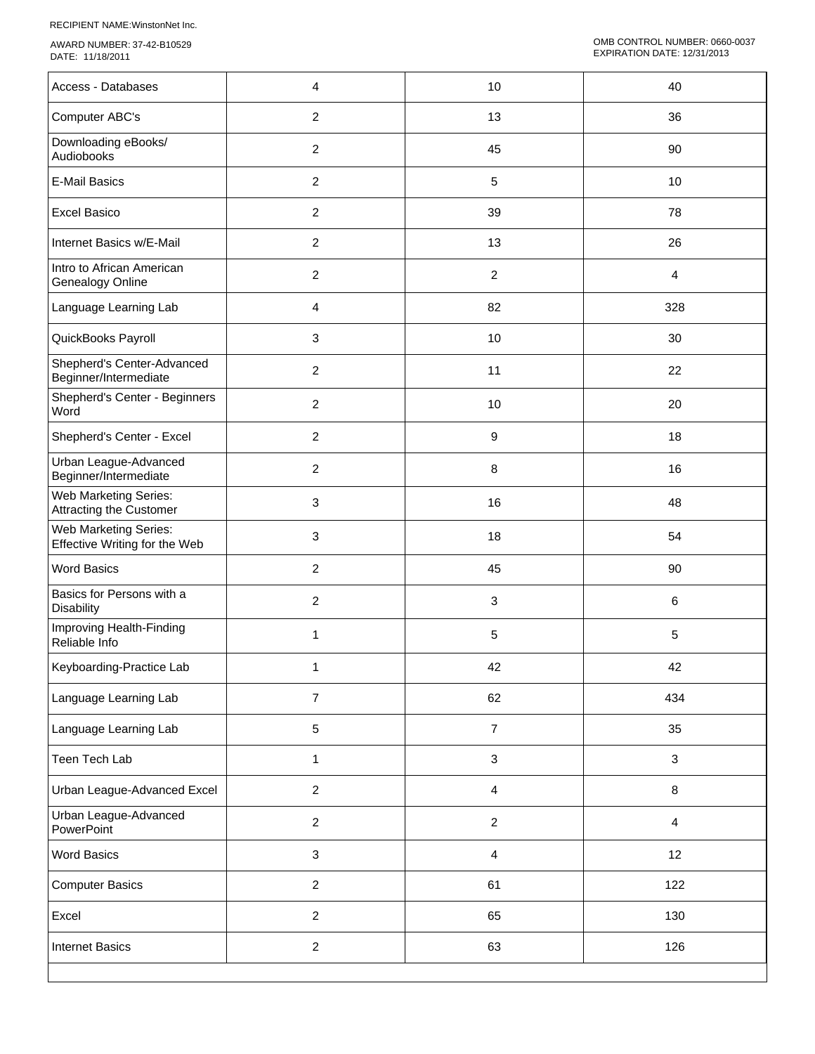RECIPIENT NAME:WinstonNet Inc.

AWARD NUMBER: 37-42-B10529 DATE: 11/18/2011

| Access - Databases                                      | 4                | 10                      | 40             |
|---------------------------------------------------------|------------------|-------------------------|----------------|
| Computer ABC's                                          | $\overline{2}$   | 13                      | 36             |
| Downloading eBooks/<br>Audiobooks                       | $\boldsymbol{2}$ | 45                      | 90             |
| <b>E-Mail Basics</b>                                    | $\boldsymbol{2}$ | 5                       | 10             |
| <b>Excel Basico</b>                                     | 2                | 39                      | 78             |
| Internet Basics w/E-Mail                                | $\overline{c}$   | 13                      | 26             |
| Intro to African American<br>Genealogy Online           | $\overline{c}$   | $\overline{2}$          | $\overline{4}$ |
| Language Learning Lab                                   | 4                | 82                      | 328            |
| QuickBooks Payroll                                      | 3                | 10                      | 30             |
| Shepherd's Center-Advanced<br>Beginner/Intermediate     | 2                | 11                      | 22             |
| Shepherd's Center - Beginners<br>Word                   | $\boldsymbol{2}$ | $10$                    | 20             |
| Shepherd's Center - Excel                               | $\boldsymbol{2}$ | $\boldsymbol{9}$        | 18             |
| Urban League-Advanced<br>Beginner/Intermediate          | $\overline{c}$   | 8                       | 16             |
| Web Marketing Series:<br><b>Attracting the Customer</b> | 3                | 16                      | 48             |
| Web Marketing Series:<br>Effective Writing for the Web  | 3                | 18                      | 54             |
| <b>Word Basics</b>                                      | $\overline{2}$   | 45                      | 90             |
| Basics for Persons with a<br>Disability                 | $\overline{2}$   | 3                       | 6              |
| Improving Health-Finding<br>Reliable Info               | 1                | 5                       | 5              |
| Keyboarding-Practice Lab                                | 1                | 42                      | 42             |
| Language Learning Lab                                   | $\overline{7}$   | 62                      | 434            |
| Language Learning Lab                                   | 5                | $\boldsymbol{7}$        | 35             |
| Teen Tech Lab                                           | 1                | $\sqrt{3}$              | 3              |
| Urban League-Advanced Excel                             | $\overline{a}$   | 4                       | 8              |
| Urban League-Advanced<br>PowerPoint                     | $\overline{a}$   | $\sqrt{2}$              | $\overline{4}$ |
| <b>Word Basics</b>                                      | 3                | $\overline{\mathbf{4}}$ | 12             |
| <b>Computer Basics</b>                                  | $\overline{a}$   | 61                      | 122            |
| Excel                                                   | $\overline{2}$   | 65                      | 130            |
| <b>Internet Basics</b>                                  | $\overline{c}$   | 63                      | 126            |
|                                                         |                  |                         |                |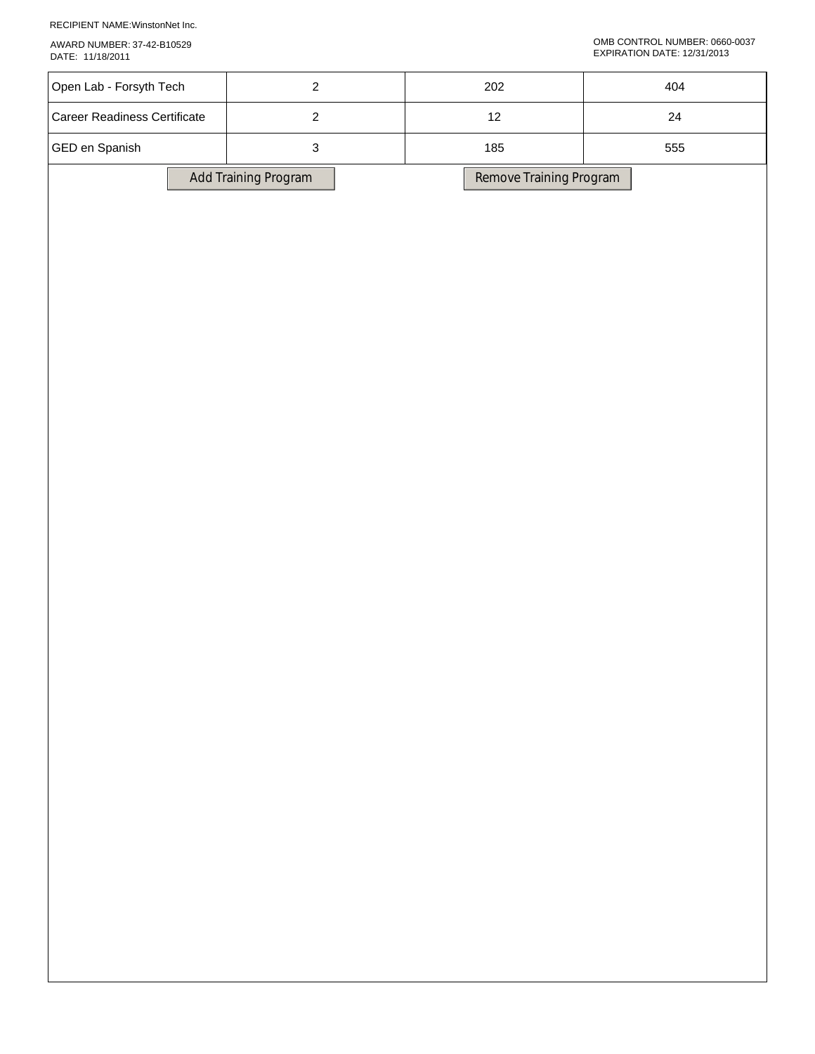RECIPIENT NAME:WinstonNet Inc.

AWARD NUMBER: 37-42-B10529 DATE: 11/18/2011

## OMB CONTROL NUMBER: 0660-0037 EXPIRATION DATE: 12/31/2013

| Open Lab - Forsyth Tech             | $\overline{2}$       | $202\,$                 | 404    |
|-------------------------------------|----------------------|-------------------------|--------|
| <b>Career Readiness Certificate</b> | $\overline{2}$       | $12\,$                  | $24\,$ |
| GED en Spanish                      | $\sqrt{3}$           | 185                     | 555    |
|                                     | Add Training Program | Remove Training Program |        |
|                                     |                      |                         |        |
|                                     |                      |                         |        |
|                                     |                      |                         |        |
|                                     |                      |                         |        |
|                                     |                      |                         |        |
|                                     |                      |                         |        |
|                                     |                      |                         |        |
|                                     |                      |                         |        |
|                                     |                      |                         |        |
|                                     |                      |                         |        |
|                                     |                      |                         |        |
|                                     |                      |                         |        |
|                                     |                      |                         |        |
|                                     |                      |                         |        |
|                                     |                      |                         |        |
|                                     |                      |                         |        |
|                                     |                      |                         |        |
|                                     |                      |                         |        |
|                                     |                      |                         |        |
|                                     |                      |                         |        |
|                                     |                      |                         |        |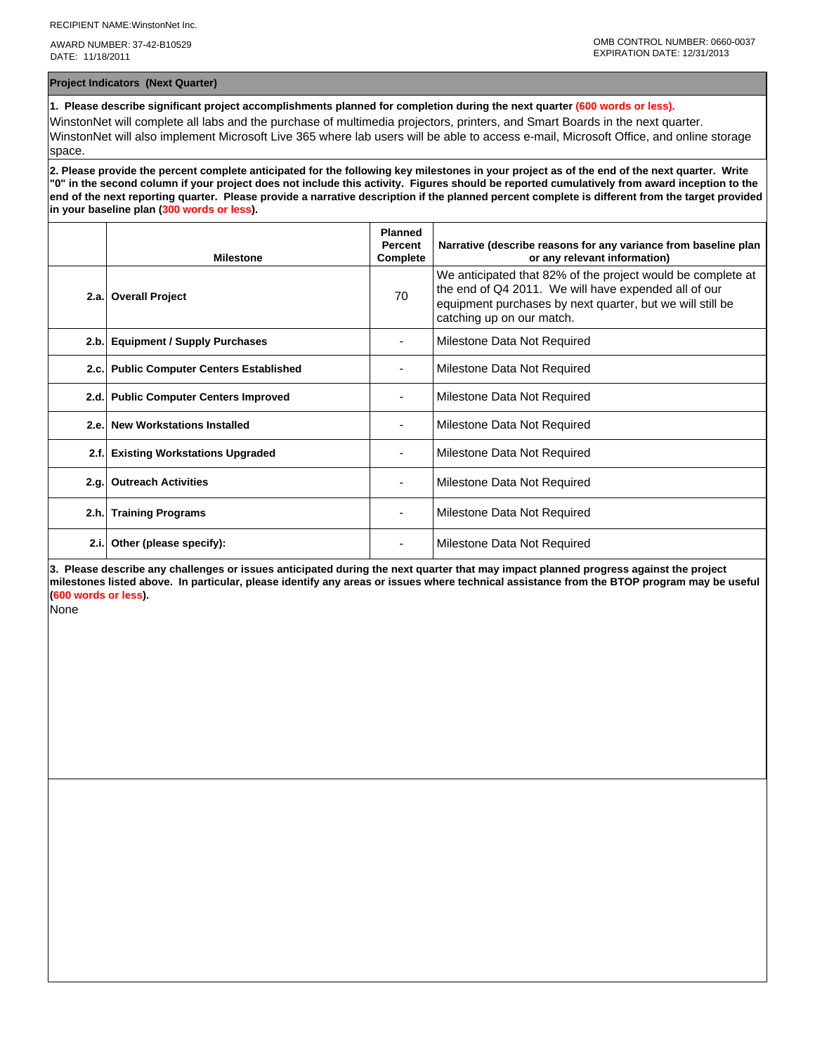AWARD NUMBER: 37-42-B10529 DATE: 11/18/2011

**Project Indicators (Next Quarter)**

**1. Please describe significant project accomplishments planned for completion during the next quarter (600 words or less).**

WinstonNet will complete all labs and the purchase of multimedia projectors, printers, and Smart Boards in the next quarter. WinstonNet will also implement Microsoft Live 365 where lab users will be able to access e-mail, Microsoft Office, and online storage space.

**2. Please provide the percent complete anticipated for the following key milestones in your project as of the end of the next quarter. Write "0" in the second column if your project does not include this activity. Figures should be reported cumulatively from award inception to the end of the next reporting quarter. Please provide a narrative description if the planned percent complete is different from the target provided in your baseline plan (300 words or less).**

|      | <b>Milestone</b>                         | <b>Planned</b><br><b>Percent</b><br>Complete | Narrative (describe reasons for any variance from baseline plan<br>or any relevant information)                                                                                                               |
|------|------------------------------------------|----------------------------------------------|---------------------------------------------------------------------------------------------------------------------------------------------------------------------------------------------------------------|
|      | 2.a. Overall Project                     | 70                                           | We anticipated that 82% of the project would be complete at<br>the end of Q4 2011. We will have expended all of our<br>equipment purchases by next quarter, but we will still be<br>catching up on our match. |
|      | 2.b. Equipment / Supply Purchases        |                                              | Milestone Data Not Required                                                                                                                                                                                   |
|      | 2.c. Public Computer Centers Established |                                              | Milestone Data Not Required                                                                                                                                                                                   |
|      | 2.d. Public Computer Centers Improved    |                                              | Milestone Data Not Required                                                                                                                                                                                   |
| 2.e. | <b>New Workstations Installed</b>        |                                              | Milestone Data Not Required                                                                                                                                                                                   |
| 2.f. | <b>Existing Workstations Upgraded</b>    |                                              | Milestone Data Not Required                                                                                                                                                                                   |
| 2.g. | <b>Outreach Activities</b>               |                                              | Milestone Data Not Required                                                                                                                                                                                   |
|      | 2.h. Training Programs                   |                                              | Milestone Data Not Required                                                                                                                                                                                   |
| 2.i. | Other (please specify):                  |                                              | Milestone Data Not Required                                                                                                                                                                                   |

**3. Please describe any challenges or issues anticipated during the next quarter that may impact planned progress against the project milestones listed above. In particular, please identify any areas or issues where technical assistance from the BTOP program may be useful (600 words or less).**

None